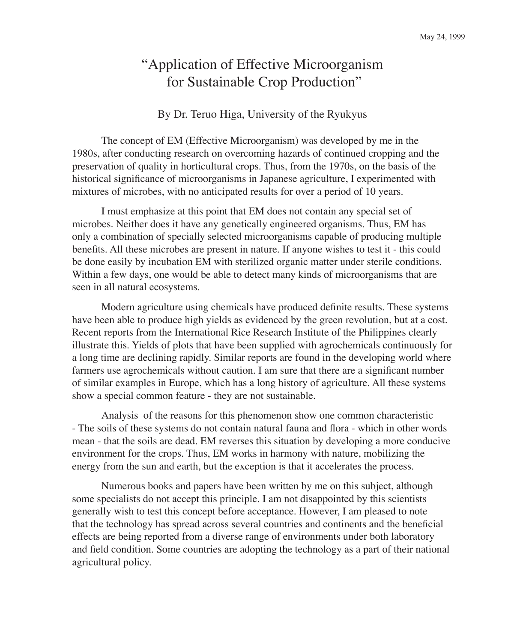# "Application of Effective Microorganism for Sustainable Crop Production"

#### By Dr. Teruo Higa, University of the Ryukyus

The concept of EM (Effective Microorganism) was developed by me in the 1980s, after conducting research on overcoming hazards of continued cropping and the preservation of quality in horticultural crops. Thus, from the 1970s, on the basis of the historical significance of microorganisms in Japanese agriculture, I experimented with mixtures of microbes, with no anticipated results for over a period of 10 years.

I must emphasize at this point that EM does not contain any special set of microbes. Neither does it have any genetically engineered organisms. Thus, EM has only a combination of specially selected microorganisms capable of producing multiple benefits. All these microbes are present in nature. If anyone wishes to test it - this could be done easily by incubation EM with sterilized organic matter under sterile conditions. Within a few days, one would be able to detect many kinds of microorganisms that are seen in all natural ecosystems.

Modern agriculture using chemicals have produced definite results. These systems have been able to produce high yields as evidenced by the green revolution, but at a cost. Recent reports from the International Rice Research Institute of the Philippines clearly illustrate this. Yields of plots that have been supplied with agrochemicals continuously for a long time are declining rapidly. Similar reports are found in the developing world where farmers use agrochemicals without caution. I am sure that there are a significant number of similar examples in Europe, which has a long history of agriculture. All these systems show a special common feature - they are not sustainable.

Analysis of the reasons for this phenomenon show one common characteristic - The soils of these systems do not contain natural fauna and flora - which in other words mean - that the soils are dead. EM reverses this situation by developing a more conducive environment for the crops. Thus, EM works in harmony with nature, mobilizing the energy from the sun and earth, but the exception is that it accelerates the process.

Numerous books and papers have been written by me on this subject, although some specialists do not accept this principle. I am not disappointed by this scientists generally wish to test this concept before acceptance. However, I am pleased to note that the technology has spread across several countries and continents and the beneficial effects are being reported from a diverse range of environments under both laboratory and field condition. Some countries are adopting the technology as a part of their national agricultural policy.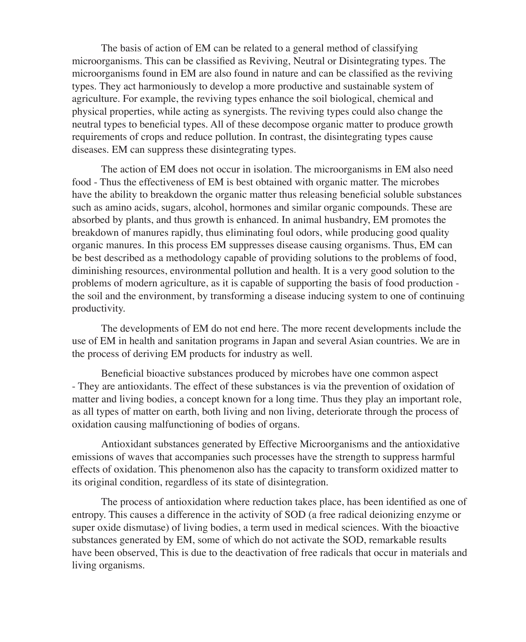The basis of action of EM can be related to a general method of classifying microorganisms. This can be classified as Reviving, Neutral or Disintegrating types. The microorganisms found in EM are also found in nature and can be classified as the reviving types. They act harmoniously to develop a more productive and sustainable system of agriculture. For example, the reviving types enhance the soil biological, chemical and physical properties, while acting as synergists. The reviving types could also change the neutral types to beneficial types. All of these decompose organic matter to produce growth requirements of crops and reduce pollution. In contrast, the disintegrating types cause diseases. EM can suppress these disintegrating types.

The action of EM does not occur in isolation. The microorganisms in EM also need food - Thus the effectiveness of EM is best obtained with organic matter. The microbes have the ability to breakdown the organic matter thus releasing beneficial soluble substances such as amino acids, sugars, alcohol, hormones and similar organic compounds. These are absorbed by plants, and thus growth is enhanced. In animal husbandry, EM promotes the breakdown of manures rapidly, thus eliminating foul odors, while producing good quality organic manures. In this process EM suppresses disease causing organisms. Thus, EM can be best described as a methodology capable of providing solutions to the problems of food, diminishing resources, environmental pollution and health. It is a very good solution to the problems of modern agriculture, as it is capable of supporting the basis of food production the soil and the environment, by transforming a disease inducing system to one of continuing productivity.

The developments of EM do not end here. The more recent developments include the use of EM in health and sanitation programs in Japan and several Asian countries. We are in the process of deriving EM products for industry as well.

Beneficial bioactive substances produced by microbes have one common aspect - They are antioxidants. The effect of these substances is via the prevention of oxidation of matter and living bodies, a concept known for a long time. Thus they play an important role, as all types of matter on earth, both living and non living, deteriorate through the process of oxidation causing malfunctioning of bodies of organs.

Antioxidant substances generated by Effective Microorganisms and the antioxidative emissions of waves that accompanies such processes have the strength to suppress harmful effects of oxidation. This phenomenon also has the capacity to transform oxidized matter to its original condition, regardless of its state of disintegration.

The process of antioxidation where reduction takes place, has been identified as one of entropy. This causes a difference in the activity of SOD (a free radical deionizing enzyme or super oxide dismutase) of living bodies, a term used in medical sciences. With the bioactive substances generated by EM, some of which do not activate the SOD, remarkable results have been observed, This is due to the deactivation of free radicals that occur in materials and living organisms.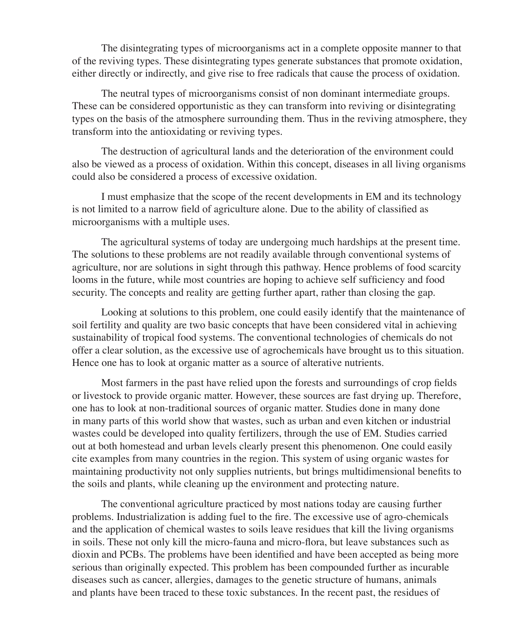The disintegrating types of microorganisms act in a complete opposite manner to that of the reviving types. These disintegrating types generate substances that promote oxidation, either directly or indirectly, and give rise to free radicals that cause the process of oxidation.

The neutral types of microorganisms consist of non dominant intermediate groups. These can be considered opportunistic as they can transform into reviving or disintegrating types on the basis of the atmosphere surrounding them. Thus in the reviving atmosphere, they transform into the antioxidating or reviving types.

The destruction of agricultural lands and the deterioration of the environment could also be viewed as a process of oxidation. Within this concept, diseases in all living organisms could also be considered a process of excessive oxidation.

I must emphasize that the scope of the recent developments in EM and its technology is not limited to a narrow field of agriculture alone. Due to the ability of classified as microorganisms with a multiple uses.

The agricultural systems of today are undergoing much hardships at the present time. The solutions to these problems are not readily available through conventional systems of agriculture, nor are solutions in sight through this pathway. Hence problems of food scarcity looms in the future, while most countries are hoping to achieve self sufficiency and food security. The concepts and reality are getting further apart, rather than closing the gap.

Looking at solutions to this problem, one could easily identify that the maintenance of soil fertility and quality are two basic concepts that have been considered vital in achieving sustainability of tropical food systems. The conventional technologies of chemicals do not offer a clear solution, as the excessive use of agrochemicals have brought us to this situation. Hence one has to look at organic matter as a source of alterative nutrients.

Most farmers in the past have relied upon the forests and surroundings of crop fields or livestock to provide organic matter. However, these sources are fast drying up. Therefore, one has to look at non-traditional sources of organic matter. Studies done in many done in many parts of this world show that wastes, such as urban and even kitchen or industrial wastes could be developed into quality fertilizers, through the use of EM. Studies carried out at both homestead and urban levels clearly present this phenomenon. One could easily cite examples from many countries in the region. This system of using organic wastes for maintaining productivity not only supplies nutrients, but brings multidimensional benefits to the soils and plants, while cleaning up the environment and protecting nature.

The conventional agriculture practiced by most nations today are causing further problems. Industrialization is adding fuel to the fire. The excessive use of agro-chemicals and the application of chemical wastes to soils leave residues that kill the living organisms in soils. These not only kill the micro-fauna and micro-flora, but leave substances such as dioxin and PCBs. The problems have been identified and have been accepted as being more serious than originally expected. This problem has been compounded further as incurable diseases such as cancer, allergies, damages to the genetic structure of humans, animals and plants have been traced to these toxic substances. In the recent past, the residues of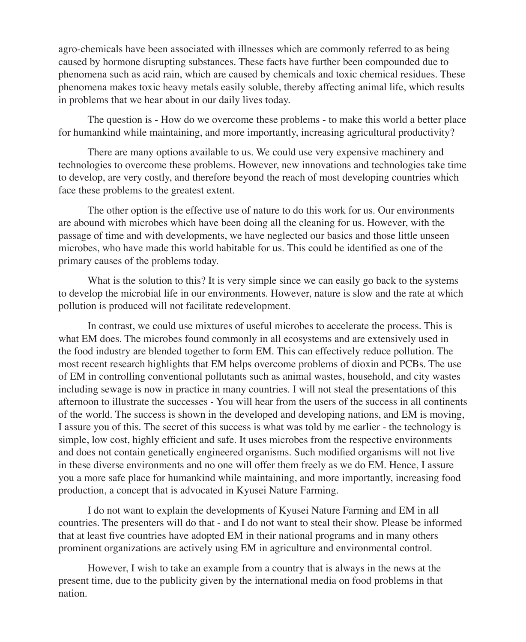agro-chemicals have been associated with illnesses which are commonly referred to as being caused by hormone disrupting substances. These facts have further been compounded due to phenomena such as acid rain, which are caused by chemicals and toxic chemical residues. These phenomena makes toxic heavy metals easily soluble, thereby affecting animal life, which results in problems that we hear about in our daily lives today.

The question is - How do we overcome these problems - to make this world a better place for humankind while maintaining, and more importantly, increasing agricultural productivity?

There are many options available to us. We could use very expensive machinery and technologies to overcome these problems. However, new innovations and technologies take time to develop, are very costly, and therefore beyond the reach of most developing countries which face these problems to the greatest extent.

The other option is the effective use of nature to do this work for us. Our environments are abound with microbes which have been doing all the cleaning for us. However, with the passage of time and with developments, we have neglected our basics and those little unseen microbes, who have made this world habitable for us. This could be identified as one of the primary causes of the problems today.

What is the solution to this? It is very simple since we can easily go back to the systems to develop the microbial life in our environments. However, nature is slow and the rate at which pollution is produced will not facilitate redevelopment.

In contrast, we could use mixtures of useful microbes to accelerate the process. This is what EM does. The microbes found commonly in all ecosystems and are extensively used in the food industry are blended together to form EM. This can effectively reduce pollution. The most recent research highlights that EM helps overcome problems of dioxin and PCBs. The use of EM in controlling conventional pollutants such as animal wastes, household, and city wastes including sewage is now in practice in many countries. I will not steal the presentations of this afternoon to illustrate the successes - You will hear from the users of the success in all continents of the world. The success is shown in the developed and developing nations, and EM is moving, I assure you of this. The secret of this success is what was told by me earlier - the technology is simple, low cost, highly efficient and safe. It uses microbes from the respective environments and does not contain genetically engineered organisms. Such modified organisms will not live in these diverse environments and no one will offer them freely as we do EM. Hence, I assure you a more safe place for humankind while maintaining, and more importantly, increasing food production, a concept that is advocated in Kyusei Nature Farming.

I do not want to explain the developments of Kyusei Nature Farming and EM in all countries. The presenters will do that - and I do not want to steal their show. Please be informed that at least five countries have adopted EM in their national programs and in many others prominent organizations are actively using EM in agriculture and environmental control.

However, I wish to take an example from a country that is always in the news at the present time, due to the publicity given by the international media on food problems in that nation.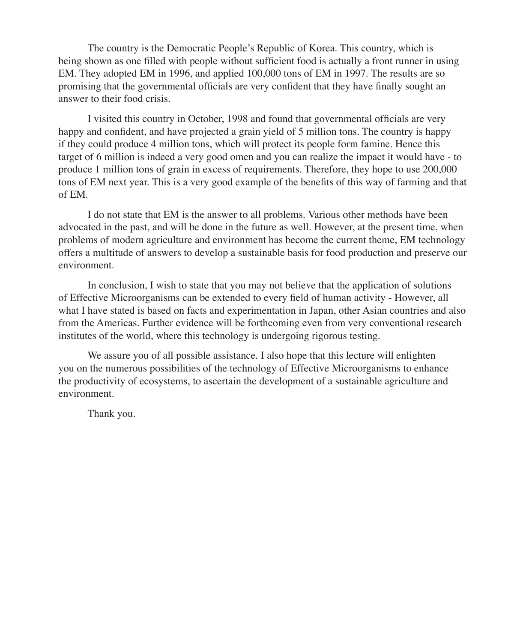The country is the Democratic People's Republic of Korea. This country, which is being shown as one filled with people without sufficient food is actually a front runner in using EM. They adopted EM in 1996, and applied 100,000 tons of EM in 1997. The results are so promising that the governmental officials are very confident that they have finally sought an answer to their food crisis.

I visited this country in October, 1998 and found that governmental officials are very happy and confident, and have projected a grain yield of 5 million tons. The country is happy if they could produce 4 million tons, which will protect its people form famine. Hence this target of 6 million is indeed a very good omen and you can realize the impact it would have - to produce 1 million tons of grain in excess of requirements. Therefore, they hope to use 200,000 tons of EM next year. This is a very good example of the benefits of this way of farming and that of EM.

I do not state that EM is the answer to all problems. Various other methods have been advocated in the past, and will be done in the future as well. However, at the present time, when problems of modern agriculture and environment has become the current theme, EM technology offers a multitude of answers to develop a sustainable basis for food production and preserve our environment.

In conclusion, I wish to state that you may not believe that the application of solutions of Effective Microorganisms can be extended to every field of human activity - However, all what I have stated is based on facts and experimentation in Japan, other Asian countries and also from the Americas. Further evidence will be forthcoming even from very conventional research institutes of the world, where this technology is undergoing rigorous testing.

We assure you of all possible assistance. I also hope that this lecture will enlighten you on the numerous possibilities of the technology of Effective Microorganisms to enhance the productivity of ecosystems, to ascertain the development of a sustainable agriculture and environment.

Thank you.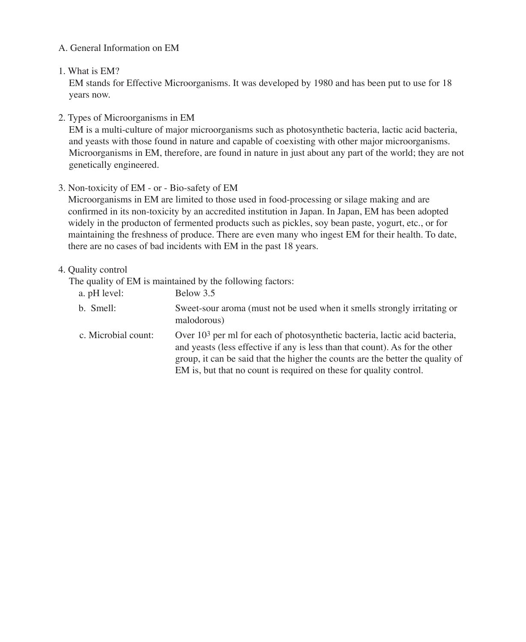## A. General Information on EM

### 1. What is EM?

EM stands for Effective Microorganisms. It was developed by 1980 and has been put to use for 18 years now.

## 2. Types of Microorganisms in EM

EM is a multi-culture of major microorganisms such as photosynthetic bacteria, lactic acid bacteria, and yeasts with those found in nature and capable of coexisting with other major microorganisms. Microorganisms in EM, therefore, are found in nature in just about any part of the world; they are not genetically engineered.

## 3. Non-toxicity of EM - or - Bio-safety of EM

Microorganisms in EM are limited to those used in food-processing or silage making and are confirmed in its non-toxicity by an accredited institution in Japan. In Japan, EM has been adopted widely in the producton of fermented products such as pickles, soy bean paste, yogurt, etc., or for maintaining the freshness of produce. There are even many who ingest EM for their health. To date, there are no cases of bad incidents with EM in the past 18 years.

## 4. Quality control

The quality of EM is maintained by the following factors:

| a. pH level:        | Below 3.5                                                                                                                                                                                                                                                                                                            |
|---------------------|----------------------------------------------------------------------------------------------------------------------------------------------------------------------------------------------------------------------------------------------------------------------------------------------------------------------|
| b. Smell:           | Sweet-sour aroma (must not be used when it smells strongly irritating or<br>malodorous)                                                                                                                                                                                                                              |
| c. Microbial count: | Over $103$ per ml for each of photosynthetic bacteria, lactic acid bacteria,<br>and yeasts (less effective if any is less than that count). As for the other<br>group, it can be said that the higher the counts are the better the quality of<br>EM is, but that no count is required on these for quality control. |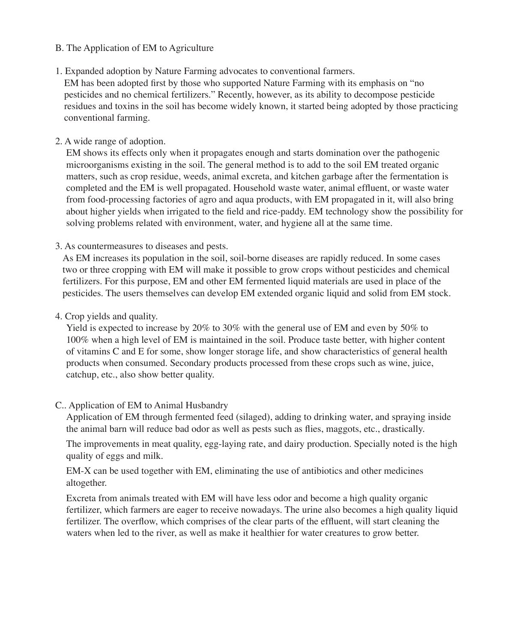#### B. The Application of EM to Agriculture

1. Expanded adoption by Nature Farming advocates to conventional farmers.

EM has been adopted first by those who supported Nature Farming with its emphasis on "no pesticides and no chemical fertilizers." Recently, however, as its ability to decompose pesticide residues and toxins in the soil has become widely known, it started being adopted by those practicing conventional farming.

## 2. A wide range of adoption.

EM shows its effects only when it propagates enough and starts domination over the pathogenic microorganisms existing in the soil. The general method is to add to the soil EM treated organic matters, such as crop residue, weeds, animal excreta, and kitchen garbage after the fermentation is completed and the EM is well propagated. Household waste water, animal effluent, or waste water from food-processing factories of agro and aqua products, with EM propagated in it, will also bring about higher yields when irrigated to the field and rice-paddy. EM technology show the possibility for solving problems related with environment, water, and hygiene all at the same time.

3. As countermeasures to diseases and pests.

As EM increases its population in the soil, soil-borne diseases are rapidly reduced. In some cases two or three cropping with EM will make it possible to grow crops without pesticides and chemical fertilizers. For this purpose, EM and other EM fermented liquid materials are used in place of the pesticides. The users themselves can develop EM extended organic liquid and solid from EM stock.

4. Crop yields and quality.

Yield is expected to increase by 20% to 30% with the general use of EM and even by 50% to 100% when a high level of EM is maintained in the soil. Produce taste better, with higher content of vitamins C and E for some, show longer storage life, and show characteristics of general health products when consumed. Secondary products processed from these crops such as wine, juice, catchup, etc., also show better quality.

## C.. Application of EM to Animal Husbandry

Application of EM through fermented feed (silaged), adding to drinking water, and spraying inside the animal barn will reduce bad odor as well as pests such as flies, maggots, etc., drastically.

The improvements in meat quality, egg-laying rate, and dairy production. Specially noted is the high quality of eggs and milk.

EM-X can be used together with EM, eliminating the use of antibiotics and other medicines altogether.

Excreta from animals treated with EM will have less odor and become a high quality organic fertilizer, which farmers are eager to receive nowadays. The urine also becomes a high quality liquid fertilizer. The overflow, which comprises of the clear parts of the effluent, will start cleaning the waters when led to the river, as well as make it healthier for water creatures to grow better.